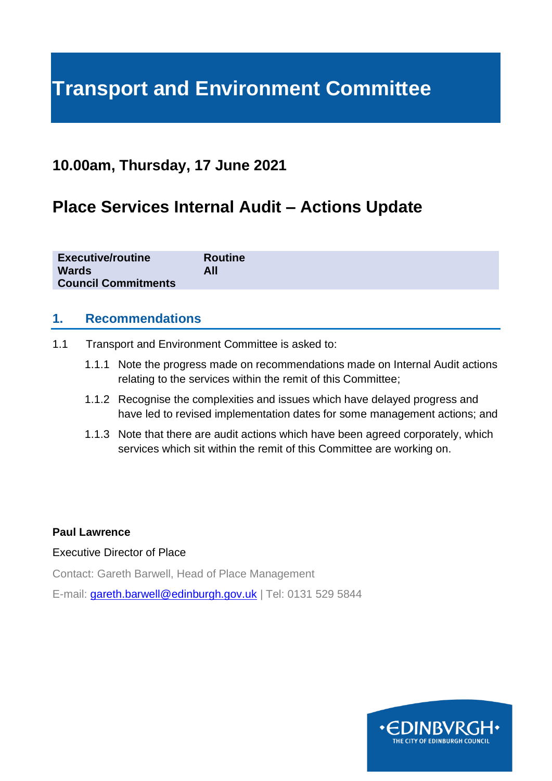# **Transport and Environment Committee**

# **10.00am, Thursday, 17 June 2021**

# **Place Services Internal Audit – Actions Update**

| <b>Executive/routine</b><br><b>Wards</b><br><b>Council Commitments</b> | <b>Routine</b><br>All |
|------------------------------------------------------------------------|-----------------------|
|                                                                        |                       |

### **1. Recommendations**

- 1.1 Transport and Environment Committee is asked to:
	- 1.1.1 Note the progress made on recommendations made on Internal Audit actions relating to the services within the remit of this Committee;
	- 1.1.2 Recognise the complexities and issues which have delayed progress and have led to revised implementation dates for some management actions; and
	- 1.1.3 Note that there are audit actions which have been agreed corporately, which services which sit within the remit of this Committee are working on.

#### **Paul Lawrence**

#### Executive Director of Place

Contact: Gareth Barwell, Head of Place Management

E-mail: [gareth.barwell@edinburgh.gov.uk](mailto:gareth.barwell@edinburgh.gov.uk) | Tel: 0131 529 5844

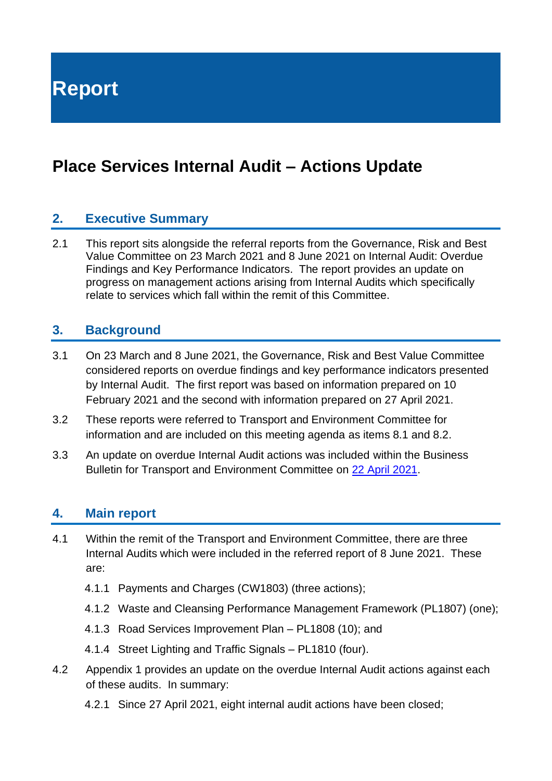**Report**

# **Place Services Internal Audit – Actions Update**

### **2. Executive Summary**

2.1 This report sits alongside the referral reports from the Governance, Risk and Best Value Committee on 23 March 2021 and 8 June 2021 on Internal Audit: Overdue Findings and Key Performance Indicators. The report provides an update on progress on management actions arising from Internal Audits which specifically relate to services which fall within the remit of this Committee.

### **3. Background**

- 3.1 On 23 March and 8 June 2021, the Governance, Risk and Best Value Committee considered reports on overdue findings and key performance indicators presented by Internal Audit. The first report was based on information prepared on 10 February 2021 and the second with information prepared on 27 April 2021.
- 3.2 These reports were referred to Transport and Environment Committee for information and are included on this meeting agenda as items 8.1 and 8.2.
- 3.3 An update on overdue Internal Audit actions was included within the Business Bulletin for Transport and Environment Committee on [22 April 2021.](https://democracy.edinburgh.gov.uk/documents/s33322/6.1%20-%20Business%20Bulletin_April%202021.pdf)

### **4. Main report**

- 4.1 Within the remit of the Transport and Environment Committee, there are three Internal Audits which were included in the referred report of 8 June 2021. These are:
	- 4.1.1 Payments and Charges (CW1803) (three actions);
	- 4.1.2 Waste and Cleansing Performance Management Framework (PL1807) (one);
	- 4.1.3 Road Services Improvement Plan PL1808 (10); and
	- 4.1.4 Street Lighting and Traffic Signals PL1810 (four).
- 4.2 Appendix 1 provides an update on the overdue Internal Audit actions against each of these audits. In summary:
	- 4.2.1 Since 27 April 2021, eight internal audit actions have been closed;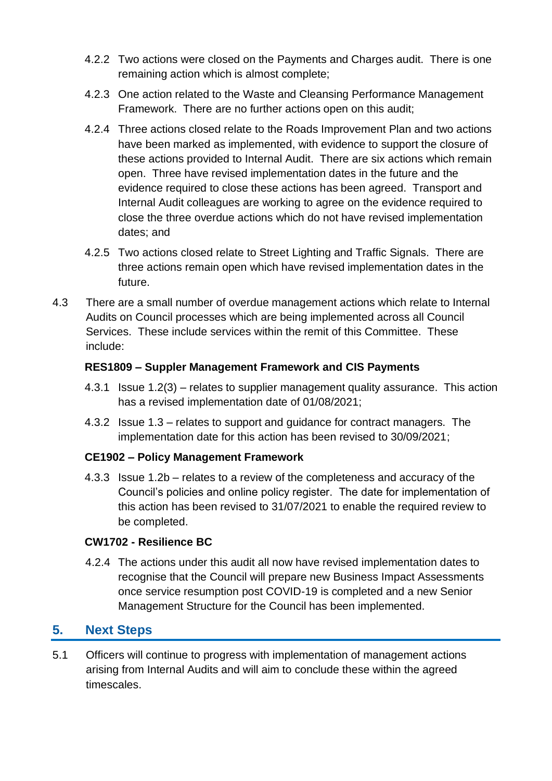- 4.2.2 Two actions were closed on the Payments and Charges audit. There is one remaining action which is almost complete;
- 4.2.3 One action related to the Waste and Cleansing Performance Management Framework. There are no further actions open on this audit;
- 4.2.4 Three actions closed relate to the Roads Improvement Plan and two actions have been marked as implemented, with evidence to support the closure of these actions provided to Internal Audit. There are six actions which remain open. Three have revised implementation dates in the future and the evidence required to close these actions has been agreed. Transport and Internal Audit colleagues are working to agree on the evidence required to close the three overdue actions which do not have revised implementation dates; and
- 4.2.5 Two actions closed relate to Street Lighting and Traffic Signals. There are three actions remain open which have revised implementation dates in the future.
- 4.3 There are a small number of overdue management actions which relate to Internal Audits on Council processes which are being implemented across all Council Services. These include services within the remit of this Committee. These include:

#### **RES1809 – Suppler Management Framework and CIS Payments**

- 4.3.1 Issue 1.2(3) relates to supplier management quality assurance. This action has a revised implementation date of 01/08/2021;
- 4.3.2 Issue 1.3 relates to support and guidance for contract managers. The implementation date for this action has been revised to 30/09/2021;

#### **CE1902 – Policy Management Framework**

4.3.3 Issue 1.2b – relates to a review of the completeness and accuracy of the Council's policies and online policy register. The date for implementation of this action has been revised to 31/07/2021 to enable the required review to be completed.

#### **CW1702 - Resilience BC**

4.2.4 The actions under this audit all now have revised implementation dates to recognise that the Council will prepare new Business Impact Assessments once service resumption post COVID-19 is completed and a new Senior Management Structure for the Council has been implemented.

### **5. Next Steps**

5.1 Officers will continue to progress with implementation of management actions arising from Internal Audits and will aim to conclude these within the agreed timescales.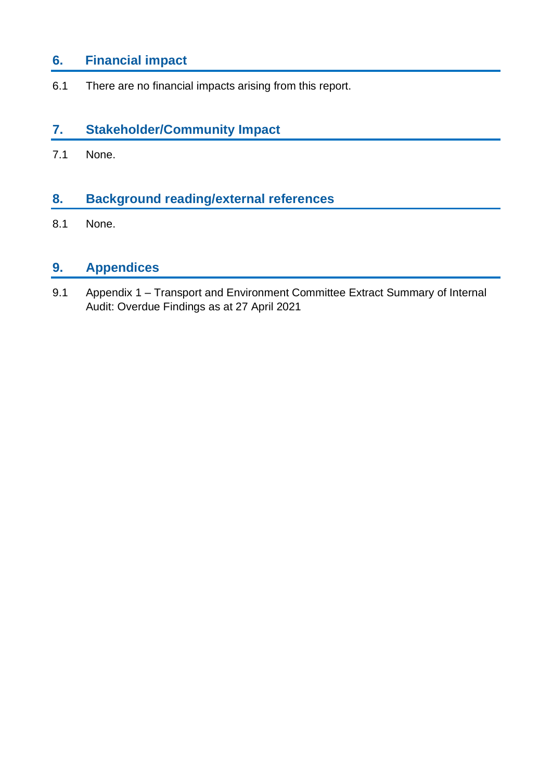# **6. Financial impact**

6.1 There are no financial impacts arising from this report.

## **7. Stakeholder/Community Impact**

7.1 None.

# **8. Background reading/external references**

8.1 None.

# **9. Appendices**

9.1 Appendix 1 – Transport and Environment Committee Extract Summary of Internal Audit: Overdue Findings as at 27 April 2021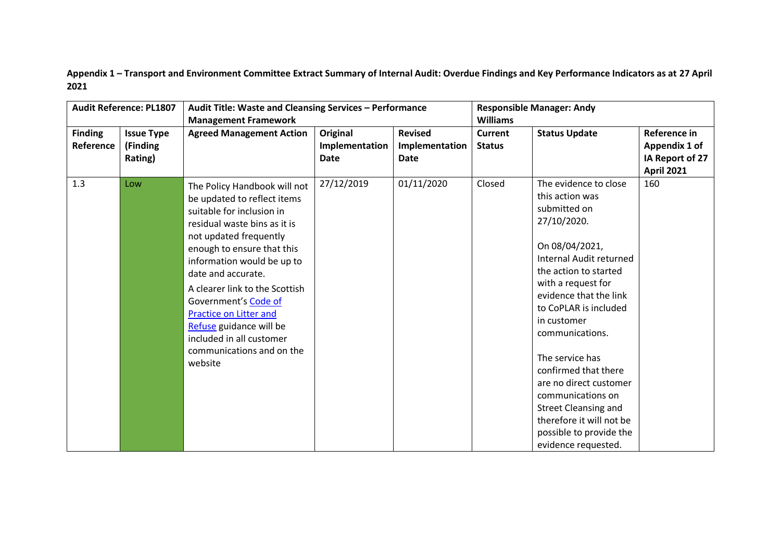**Appendix 1 – Transport and Environment Committee Extract Summary of Internal Audit: Overdue Findings and Key Performance Indicators as at 27 April 2021**

|                             | <b>Audit Reference: PL1807</b>           | Audit Title: Waste and Cleansing Services - Performance                                                                                                                                                                                                                                                                                                                                                                        |                                    |                                                 |                                 | <b>Responsible Manager: Andy</b>                                                                                                                                                                                                                                                                                                                                                                                                                                |                                                                       |  |
|-----------------------------|------------------------------------------|--------------------------------------------------------------------------------------------------------------------------------------------------------------------------------------------------------------------------------------------------------------------------------------------------------------------------------------------------------------------------------------------------------------------------------|------------------------------------|-------------------------------------------------|---------------------------------|-----------------------------------------------------------------------------------------------------------------------------------------------------------------------------------------------------------------------------------------------------------------------------------------------------------------------------------------------------------------------------------------------------------------------------------------------------------------|-----------------------------------------------------------------------|--|
|                             |                                          | <b>Management Framework</b>                                                                                                                                                                                                                                                                                                                                                                                                    |                                    |                                                 | <b>Williams</b>                 |                                                                                                                                                                                                                                                                                                                                                                                                                                                                 |                                                                       |  |
| <b>Finding</b><br>Reference | <b>Issue Type</b><br>(Finding<br>Rating) | <b>Agreed Management Action</b>                                                                                                                                                                                                                                                                                                                                                                                                | Original<br>Implementation<br>Date | <b>Revised</b><br>Implementation<br><b>Date</b> | <b>Current</b><br><b>Status</b> | <b>Status Update</b>                                                                                                                                                                                                                                                                                                                                                                                                                                            | Reference in<br>Appendix 1 of<br>IA Report of 27<br><b>April 2021</b> |  |
| 1.3                         | Low                                      | The Policy Handbook will not<br>be updated to reflect items<br>suitable for inclusion in<br>residual waste bins as it is<br>not updated frequently<br>enough to ensure that this<br>information would be up to<br>date and accurate.<br>A clearer link to the Scottish<br>Government's Code of<br><b>Practice on Litter and</b><br>Refuse guidance will be<br>included in all customer<br>communications and on the<br>website | 27/12/2019                         | 01/11/2020                                      | Closed                          | The evidence to close<br>this action was<br>submitted on<br>27/10/2020.<br>On 08/04/2021,<br>Internal Audit returned<br>the action to started<br>with a request for<br>evidence that the link<br>to CoPLAR is included<br>in customer<br>communications.<br>The service has<br>confirmed that there<br>are no direct customer<br>communications on<br><b>Street Cleansing and</b><br>therefore it will not be<br>possible to provide the<br>evidence requested. | 160                                                                   |  |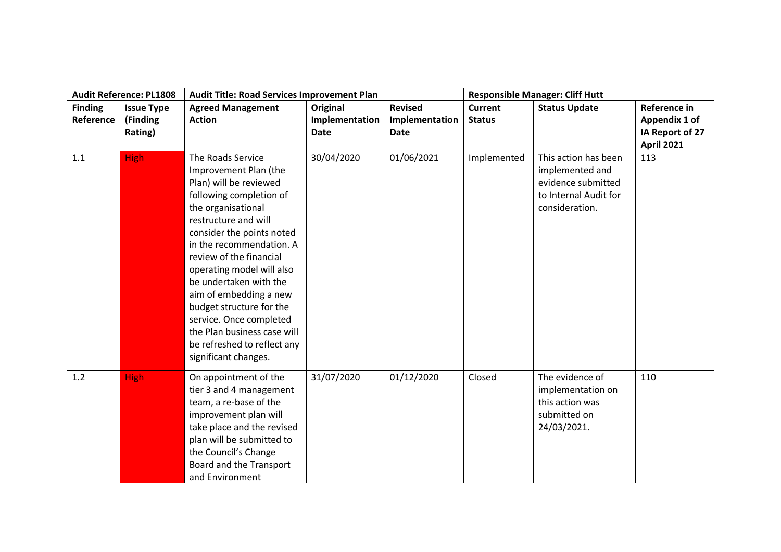|                | <b>Audit Reference: PL1808</b> | Audit Title: Road Services Improvement Plan |                |                |                | <b>Responsible Manager: Cliff Hutt</b> |                   |
|----------------|--------------------------------|---------------------------------------------|----------------|----------------|----------------|----------------------------------------|-------------------|
| <b>Finding</b> | <b>Issue Type</b>              | <b>Agreed Management</b>                    | Original       | <b>Revised</b> | <b>Current</b> | <b>Status Update</b>                   | Reference in      |
| Reference      | (Finding                       | <b>Action</b>                               | Implementation | Implementation | <b>Status</b>  |                                        | Appendix 1 of     |
|                | Rating)                        |                                             | Date           | Date           |                |                                        | IA Report of 27   |
|                |                                |                                             |                |                |                |                                        | <b>April 2021</b> |
| 1.1            | <b>High</b>                    | The Roads Service                           | 30/04/2020     | 01/06/2021     | Implemented    | This action has been                   | 113               |
|                |                                | Improvement Plan (the                       |                |                |                | implemented and                        |                   |
|                |                                | Plan) will be reviewed                      |                |                |                | evidence submitted                     |                   |
|                |                                | following completion of                     |                |                |                | to Internal Audit for                  |                   |
|                |                                | the organisational                          |                |                |                | consideration.                         |                   |
|                |                                | restructure and will                        |                |                |                |                                        |                   |
|                |                                | consider the points noted                   |                |                |                |                                        |                   |
|                |                                | in the recommendation. A                    |                |                |                |                                        |                   |
|                |                                | review of the financial                     |                |                |                |                                        |                   |
|                |                                | operating model will also                   |                |                |                |                                        |                   |
|                |                                | be undertaken with the                      |                |                |                |                                        |                   |
|                |                                | aim of embedding a new                      |                |                |                |                                        |                   |
|                |                                | budget structure for the                    |                |                |                |                                        |                   |
|                |                                | service. Once completed                     |                |                |                |                                        |                   |
|                |                                | the Plan business case will                 |                |                |                |                                        |                   |
|                |                                | be refreshed to reflect any                 |                |                |                |                                        |                   |
|                |                                | significant changes.                        |                |                |                |                                        |                   |
| 1.2            | <b>High</b>                    | On appointment of the                       | 31/07/2020     | 01/12/2020     | Closed         | The evidence of                        | 110               |
|                |                                | tier 3 and 4 management                     |                |                |                | implementation on                      |                   |
|                |                                | team, a re-base of the                      |                |                |                | this action was                        |                   |
|                |                                | improvement plan will                       |                |                |                | submitted on                           |                   |
|                |                                | take place and the revised                  |                |                |                | 24/03/2021.                            |                   |
|                |                                | plan will be submitted to                   |                |                |                |                                        |                   |
|                |                                | the Council's Change                        |                |                |                |                                        |                   |
|                |                                | Board and the Transport                     |                |                |                |                                        |                   |
|                |                                | and Environment                             |                |                |                |                                        |                   |
|                |                                |                                             |                |                |                |                                        |                   |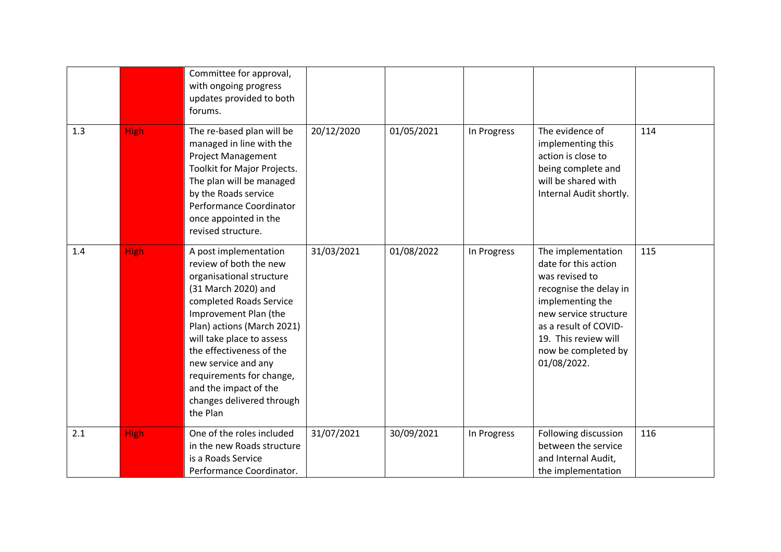|     |             | Committee for approval,<br>with ongoing progress<br>updates provided to both<br>forums.                                                                                                                                                                                                                                                                            |            |            |             |                                                                                                                                                                                                                            |     |
|-----|-------------|--------------------------------------------------------------------------------------------------------------------------------------------------------------------------------------------------------------------------------------------------------------------------------------------------------------------------------------------------------------------|------------|------------|-------------|----------------------------------------------------------------------------------------------------------------------------------------------------------------------------------------------------------------------------|-----|
| 1.3 | <b>High</b> | The re-based plan will be<br>managed in line with the<br><b>Project Management</b><br>Toolkit for Major Projects.<br>The plan will be managed<br>by the Roads service<br>Performance Coordinator<br>once appointed in the<br>revised structure.                                                                                                                    | 20/12/2020 | 01/05/2021 | In Progress | The evidence of<br>implementing this<br>action is close to<br>being complete and<br>will be shared with<br>Internal Audit shortly.                                                                                         | 114 |
| 1.4 | <b>High</b> | A post implementation<br>review of both the new<br>organisational structure<br>(31 March 2020) and<br>completed Roads Service<br>Improvement Plan (the<br>Plan) actions (March 2021)<br>will take place to assess<br>the effectiveness of the<br>new service and any<br>requirements for change,<br>and the impact of the<br>changes delivered through<br>the Plan | 31/03/2021 | 01/08/2022 | In Progress | The implementation<br>date for this action<br>was revised to<br>recognise the delay in<br>implementing the<br>new service structure<br>as a result of COVID-<br>19. This review will<br>now be completed by<br>01/08/2022. | 115 |
| 2.1 | <b>High</b> | One of the roles included<br>in the new Roads structure<br>is a Roads Service<br>Performance Coordinator.                                                                                                                                                                                                                                                          | 31/07/2021 | 30/09/2021 | In Progress | Following discussion<br>between the service<br>and Internal Audit,<br>the implementation                                                                                                                                   | 116 |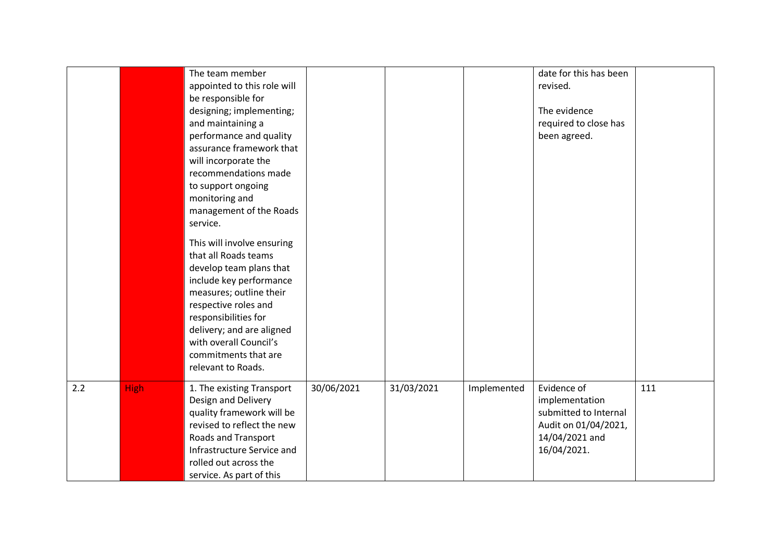|     |             | The team member<br>appointed to this role will<br>be responsible for<br>designing; implementing;<br>and maintaining a<br>performance and quality<br>assurance framework that<br>will incorporate the<br>recommendations made<br>to support ongoing<br>monitoring and<br>management of the Roads<br>service.<br>This will involve ensuring<br>that all Roads teams<br>develop team plans that<br>include key performance<br>measures; outline their<br>respective roles and<br>responsibilities for<br>delivery; and are aligned<br>with overall Council's<br>commitments that are<br>relevant to Roads. |            |            |             | date for this has been<br>revised.<br>The evidence<br>required to close has<br>been agreed.                     |     |
|-----|-------------|---------------------------------------------------------------------------------------------------------------------------------------------------------------------------------------------------------------------------------------------------------------------------------------------------------------------------------------------------------------------------------------------------------------------------------------------------------------------------------------------------------------------------------------------------------------------------------------------------------|------------|------------|-------------|-----------------------------------------------------------------------------------------------------------------|-----|
| 2.2 | <b>High</b> | 1. The existing Transport<br>Design and Delivery<br>quality framework will be<br>revised to reflect the new<br><b>Roads and Transport</b><br>Infrastructure Service and<br>rolled out across the<br>service. As part of this                                                                                                                                                                                                                                                                                                                                                                            | 30/06/2021 | 31/03/2021 | Implemented | Evidence of<br>implementation<br>submitted to Internal<br>Audit on 01/04/2021,<br>14/04/2021 and<br>16/04/2021. | 111 |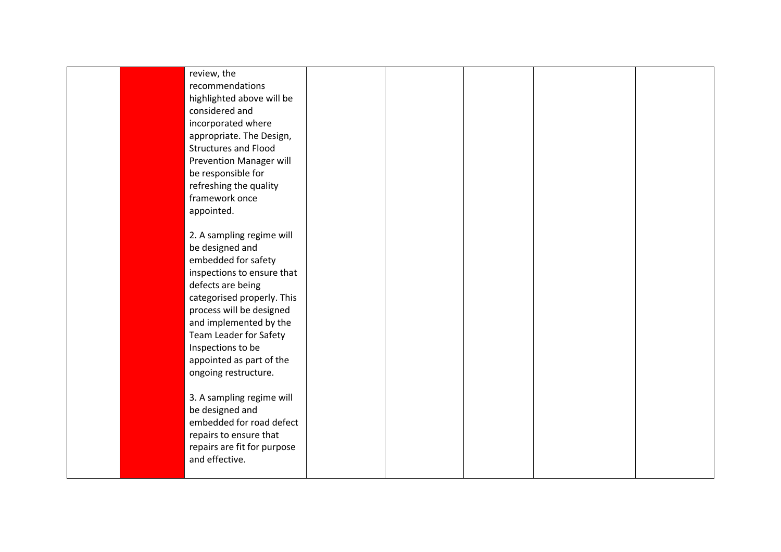| review, the<br>recommendations<br>highlighted above will be<br>considered and<br>incorporated where<br>appropriate. The Design,<br><b>Structures and Flood</b><br><b>Prevention Manager will</b><br>be responsible for<br>refreshing the quality<br>framework once<br>appointed.                              |  |  |  |
|---------------------------------------------------------------------------------------------------------------------------------------------------------------------------------------------------------------------------------------------------------------------------------------------------------------|--|--|--|
| 2. A sampling regime will<br>be designed and<br>embedded for safety<br>inspections to ensure that<br>defects are being<br>categorised properly. This<br>process will be designed<br>and implemented by the<br>Team Leader for Safety<br>Inspections to be<br>appointed as part of the<br>ongoing restructure. |  |  |  |
| 3. A sampling regime will<br>be designed and<br>embedded for road defect<br>repairs to ensure that<br>repairs are fit for purpose<br>and effective.                                                                                                                                                           |  |  |  |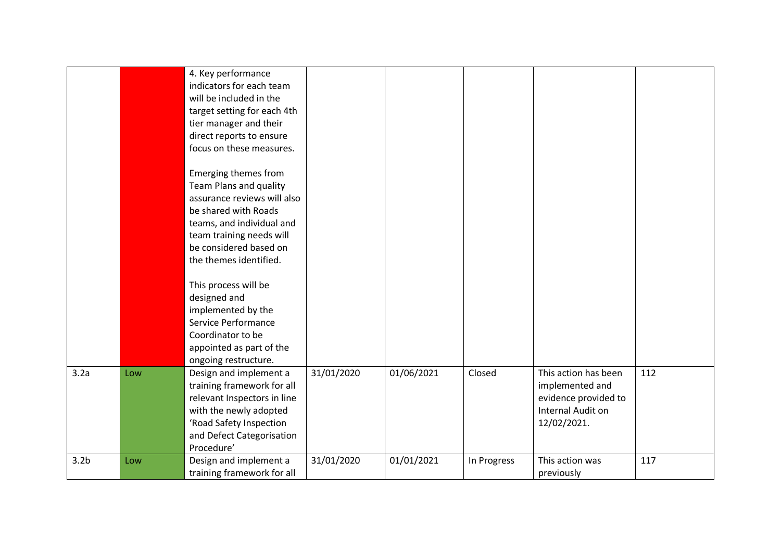|                  |     | 4. Key performance<br>indicators for each team<br>will be included in the<br>target setting for each 4th<br>tier manager and their<br>direct reports to ensure                                                                                 |            |            |             |                                                                                                     |     |
|------------------|-----|------------------------------------------------------------------------------------------------------------------------------------------------------------------------------------------------------------------------------------------------|------------|------------|-------------|-----------------------------------------------------------------------------------------------------|-----|
|                  |     | focus on these measures.<br>Emerging themes from<br>Team Plans and quality<br>assurance reviews will also<br>be shared with Roads<br>teams, and individual and<br>team training needs will<br>be considered based on<br>the themes identified. |            |            |             |                                                                                                     |     |
|                  |     | This process will be<br>designed and<br>implemented by the<br>Service Performance<br>Coordinator to be<br>appointed as part of the<br>ongoing restructure.                                                                                     |            |            |             |                                                                                                     |     |
| 3.2a             | Low | Design and implement a<br>training framework for all<br>relevant Inspectors in line<br>with the newly adopted<br>'Road Safety Inspection<br>and Defect Categorisation<br>Procedure'                                                            | 31/01/2020 | 01/06/2021 | Closed      | This action has been<br>implemented and<br>evidence provided to<br>Internal Audit on<br>12/02/2021. | 112 |
| 3.2 <sub>b</sub> | Low | Design and implement a<br>training framework for all                                                                                                                                                                                           | 31/01/2020 | 01/01/2021 | In Progress | This action was<br>previously                                                                       | 117 |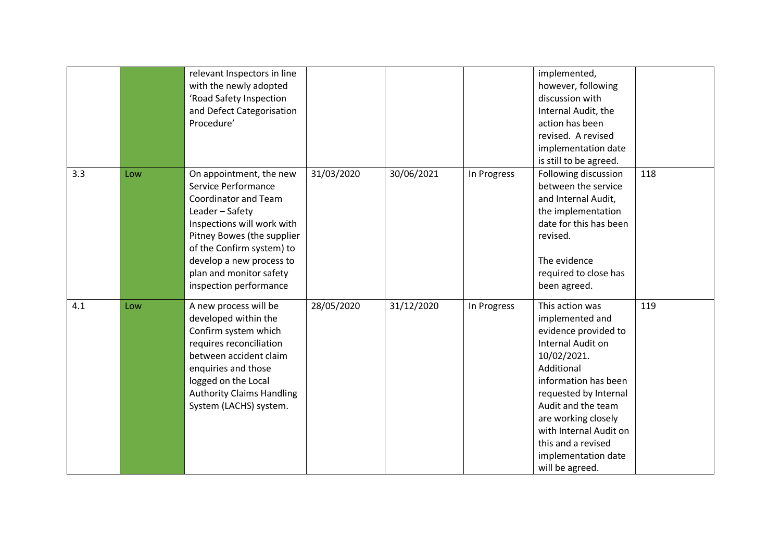|     |     | relevant Inspectors in line<br>with the newly adopted<br>'Road Safety Inspection<br>and Defect Categorisation<br>Procedure'                                                                                                                                         |            |            |             | implemented,<br>however, following<br>discussion with<br>Internal Audit, the<br>action has been<br>revised. A revised<br>implementation date<br>is still to be agreed.                                                                                                                               |     |
|-----|-----|---------------------------------------------------------------------------------------------------------------------------------------------------------------------------------------------------------------------------------------------------------------------|------------|------------|-------------|------------------------------------------------------------------------------------------------------------------------------------------------------------------------------------------------------------------------------------------------------------------------------------------------------|-----|
| 3.3 | Low | On appointment, the new<br>Service Performance<br>Coordinator and Team<br>Leader - Safety<br>Inspections will work with<br>Pitney Bowes (the supplier<br>of the Confirm system) to<br>develop a new process to<br>plan and monitor safety<br>inspection performance | 31/03/2020 | 30/06/2021 | In Progress | Following discussion<br>between the service<br>and Internal Audit,<br>the implementation<br>date for this has been<br>revised.<br>The evidence<br>required to close has<br>been agreed.                                                                                                              | 118 |
| 4.1 | Low | A new process will be<br>developed within the<br>Confirm system which<br>requires reconciliation<br>between accident claim<br>enquiries and those<br>logged on the Local<br><b>Authority Claims Handling</b><br>System (LACHS) system.                              | 28/05/2020 | 31/12/2020 | In Progress | This action was<br>implemented and<br>evidence provided to<br>Internal Audit on<br>10/02/2021.<br>Additional<br>information has been<br>requested by Internal<br>Audit and the team<br>are working closely<br>with Internal Audit on<br>this and a revised<br>implementation date<br>will be agreed. | 119 |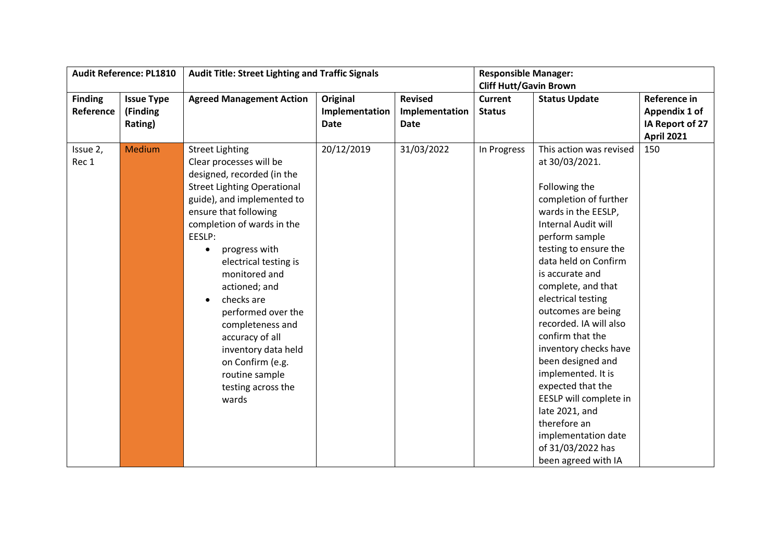|                | <b>Audit Reference: PL1810</b> |                                    | <b>Audit Title: Street Lighting and Traffic Signals</b> |                |                               | <b>Responsible Manager:</b> |                   |
|----------------|--------------------------------|------------------------------------|---------------------------------------------------------|----------------|-------------------------------|-----------------------------|-------------------|
|                |                                |                                    |                                                         |                | <b>Cliff Hutt/Gavin Brown</b> |                             |                   |
| <b>Finding</b> | <b>Issue Type</b>              | <b>Agreed Management Action</b>    | Original                                                | <b>Revised</b> | <b>Current</b>                | <b>Status Update</b>        | Reference in      |
| Reference      | (Finding                       |                                    | Implementation                                          | Implementation | <b>Status</b>                 |                             | Appendix 1 of     |
|                | Rating)                        |                                    | <b>Date</b>                                             | <b>Date</b>    |                               |                             | IA Report of 27   |
|                |                                |                                    |                                                         |                |                               |                             | <b>April 2021</b> |
| Issue 2,       | Medium                         | <b>Street Lighting</b>             | 20/12/2019                                              | 31/03/2022     | In Progress                   | This action was revised     | 150               |
| Rec 1          |                                | Clear processes will be            |                                                         |                |                               | at 30/03/2021.              |                   |
|                |                                | designed, recorded (in the         |                                                         |                |                               |                             |                   |
|                |                                | <b>Street Lighting Operational</b> |                                                         |                |                               | Following the               |                   |
|                |                                | guide), and implemented to         |                                                         |                |                               | completion of further       |                   |
|                |                                | ensure that following              |                                                         |                |                               | wards in the EESLP,         |                   |
|                |                                | completion of wards in the         |                                                         |                |                               | <b>Internal Audit will</b>  |                   |
|                |                                | EESLP:                             |                                                         |                |                               | perform sample              |                   |
|                |                                | progress with                      |                                                         |                |                               | testing to ensure the       |                   |
|                |                                | electrical testing is              |                                                         |                |                               | data held on Confirm        |                   |
|                |                                | monitored and                      |                                                         |                |                               | is accurate and             |                   |
|                |                                | actioned; and                      |                                                         |                |                               | complete, and that          |                   |
|                |                                | checks are<br>$\bullet$            |                                                         |                |                               | electrical testing          |                   |
|                |                                | performed over the                 |                                                         |                |                               | outcomes are being          |                   |
|                |                                | completeness and                   |                                                         |                |                               | recorded. IA will also      |                   |
|                |                                | accuracy of all                    |                                                         |                |                               | confirm that the            |                   |
|                |                                | inventory data held                |                                                         |                |                               | inventory checks have       |                   |
|                |                                | on Confirm (e.g.                   |                                                         |                |                               | been designed and           |                   |
|                |                                | routine sample                     |                                                         |                |                               | implemented. It is          |                   |
|                |                                | testing across the                 |                                                         |                |                               | expected that the           |                   |
|                |                                | wards                              |                                                         |                |                               | EESLP will complete in      |                   |
|                |                                |                                    |                                                         |                |                               | late 2021, and              |                   |
|                |                                |                                    |                                                         |                |                               | therefore an                |                   |
|                |                                |                                    |                                                         |                |                               | implementation date         |                   |
|                |                                |                                    |                                                         |                |                               | of 31/03/2022 has           |                   |
|                |                                |                                    |                                                         |                |                               | been agreed with IA         |                   |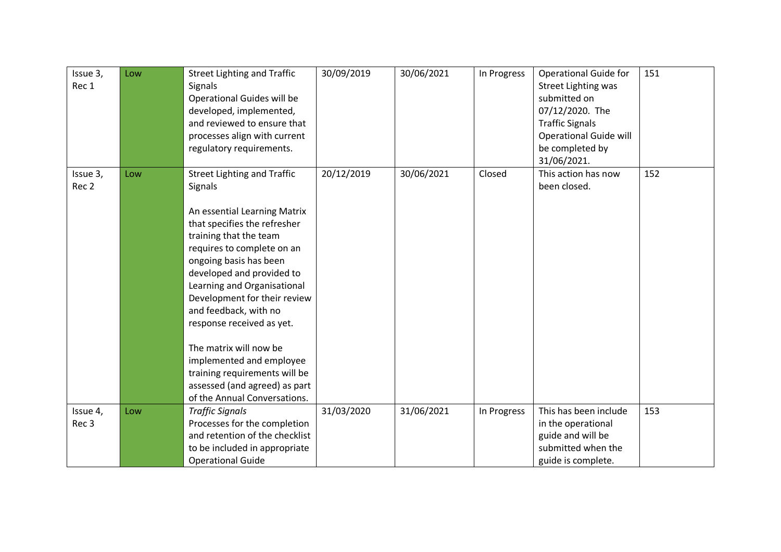| Issue 3,<br>Rec 1            | Low | <b>Street Lighting and Traffic</b><br><b>Signals</b><br>Operational Guides will be<br>developed, implemented,<br>and reviewed to ensure that<br>processes align with current<br>regulatory requirements.                                                                                                                                                                                                                                                                                                  | 30/09/2019 | 30/06/2021 | In Progress | <b>Operational Guide for</b><br><b>Street Lighting was</b><br>submitted on<br>07/12/2020. The<br><b>Traffic Signals</b><br><b>Operational Guide will</b><br>be completed by<br>31/06/2021. | 151 |
|------------------------------|-----|-----------------------------------------------------------------------------------------------------------------------------------------------------------------------------------------------------------------------------------------------------------------------------------------------------------------------------------------------------------------------------------------------------------------------------------------------------------------------------------------------------------|------------|------------|-------------|--------------------------------------------------------------------------------------------------------------------------------------------------------------------------------------------|-----|
| Issue 3,<br>Rec 2            | Low | <b>Street Lighting and Traffic</b><br>Signals<br>An essential Learning Matrix<br>that specifies the refresher<br>training that the team<br>requires to complete on an<br>ongoing basis has been<br>developed and provided to<br>Learning and Organisational<br>Development for their review<br>and feedback, with no<br>response received as yet.<br>The matrix will now be<br>implemented and employee<br>training requirements will be<br>assessed (and agreed) as part<br>of the Annual Conversations. | 20/12/2019 | 30/06/2021 | Closed      | This action has now<br>been closed.                                                                                                                                                        | 152 |
| Issue 4,<br>Rec <sub>3</sub> | Low | <b>Traffic Signals</b><br>Processes for the completion<br>and retention of the checklist<br>to be included in appropriate<br><b>Operational Guide</b>                                                                                                                                                                                                                                                                                                                                                     | 31/03/2020 | 31/06/2021 | In Progress | This has been include<br>in the operational<br>guide and will be<br>submitted when the<br>guide is complete.                                                                               | 153 |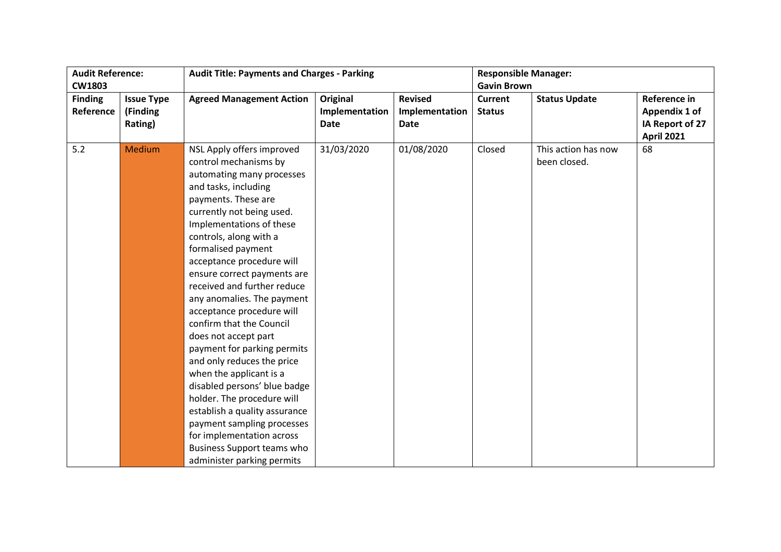| <b>Audit Reference:</b> |                   | <b>Audit Title: Payments and Charges - Parking</b> |                |                | <b>Responsible Manager:</b> |                      |                   |
|-------------------------|-------------------|----------------------------------------------------|----------------|----------------|-----------------------------|----------------------|-------------------|
| <b>CW1803</b>           |                   |                                                    |                |                | <b>Gavin Brown</b>          |                      |                   |
| <b>Finding</b>          | <b>Issue Type</b> | <b>Agreed Management Action</b>                    | Original       | <b>Revised</b> | <b>Current</b>              | <b>Status Update</b> | Reference in      |
| Reference               | (Finding          |                                                    | Implementation | Implementation | <b>Status</b>               |                      | Appendix 1 of     |
|                         | Rating)           |                                                    | <b>Date</b>    | Date           |                             |                      | IA Report of 27   |
|                         |                   |                                                    |                |                |                             |                      | <b>April 2021</b> |
| 5.2                     | Medium            | NSL Apply offers improved                          | 31/03/2020     | 01/08/2020     | Closed                      | This action has now  | 68                |
|                         |                   | control mechanisms by                              |                |                |                             | been closed.         |                   |
|                         |                   | automating many processes                          |                |                |                             |                      |                   |
|                         |                   | and tasks, including                               |                |                |                             |                      |                   |
|                         |                   | payments. These are                                |                |                |                             |                      |                   |
|                         |                   | currently not being used.                          |                |                |                             |                      |                   |
|                         |                   | Implementations of these                           |                |                |                             |                      |                   |
|                         |                   | controls, along with a                             |                |                |                             |                      |                   |
|                         |                   | formalised payment                                 |                |                |                             |                      |                   |
|                         |                   | acceptance procedure will                          |                |                |                             |                      |                   |
|                         |                   | ensure correct payments are                        |                |                |                             |                      |                   |
|                         |                   | received and further reduce                        |                |                |                             |                      |                   |
|                         |                   | any anomalies. The payment                         |                |                |                             |                      |                   |
|                         |                   | acceptance procedure will                          |                |                |                             |                      |                   |
|                         |                   | confirm that the Council                           |                |                |                             |                      |                   |
|                         |                   | does not accept part                               |                |                |                             |                      |                   |
|                         |                   | payment for parking permits                        |                |                |                             |                      |                   |
|                         |                   | and only reduces the price                         |                |                |                             |                      |                   |
|                         |                   | when the applicant is a                            |                |                |                             |                      |                   |
|                         |                   | disabled persons' blue badge                       |                |                |                             |                      |                   |
|                         |                   | holder. The procedure will                         |                |                |                             |                      |                   |
|                         |                   | establish a quality assurance                      |                |                |                             |                      |                   |
|                         |                   | payment sampling processes                         |                |                |                             |                      |                   |
|                         |                   | for implementation across                          |                |                |                             |                      |                   |
|                         |                   | Business Support teams who                         |                |                |                             |                      |                   |
|                         |                   | administer parking permits                         |                |                |                             |                      |                   |